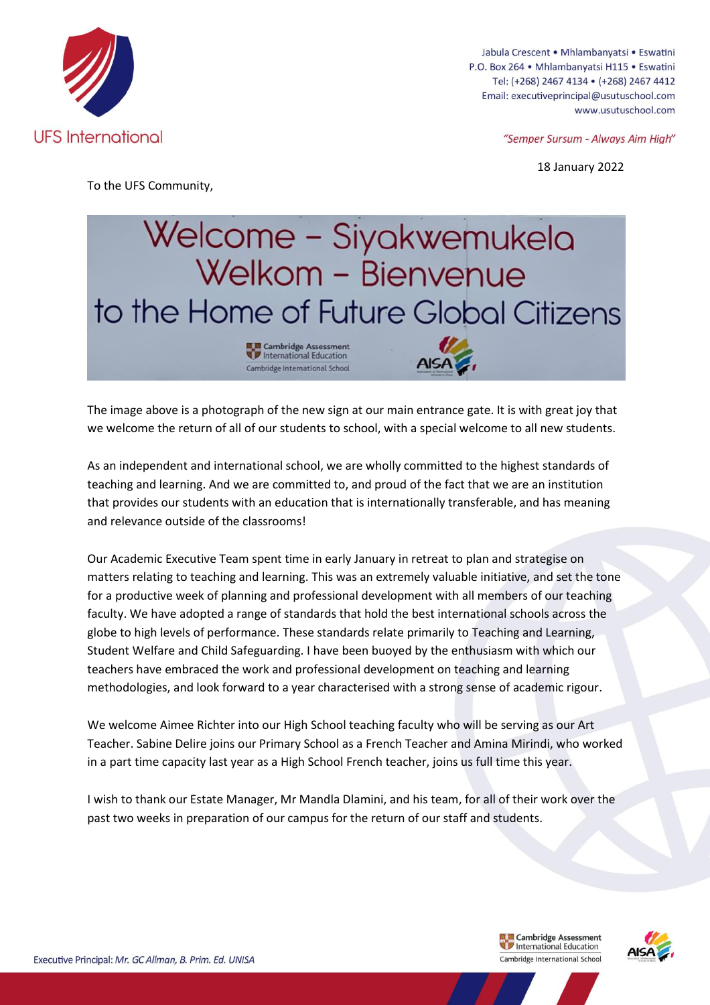

Jabula Crescent • Mhlambanyatsi • Eswatini P.O. Box 264 · Mhlambanyatsi H115 · Eswatini Tel: (+268) 2467 4134 · (+268) 2467 4412 Email: executiveprincipal@usutuschool.com www.usutuschool.com

"Semper Sursum - Always Aim High"

18 January 2022

To the UFS Community,



The image above is a photograph of the new sign at our main entrance gate. It is with great joy that we welcome the return of all of our students to school, with a special welcome to all new students.

As an independent and international school, we are wholly committed to the highest standards of teaching and learning. And we are committed to, and proud of the fact that we are an institution that provides our students with an education that is internationally transferable, and has meaning and relevance outside of the classrooms!

Our Academic Executive Team spent time in early January in retreat to plan and strategise on matters relating to teaching and learning. This was an extremely valuable initiative, and set the tone for a productive week of planning and professional development with all members of our teaching faculty. We have adopted a range of standards that hold the best international schools across the globe to high levels of performance. These standards relate primarily to Teaching and Learning, Student Welfare and Child Safeguarding. I have been buoyed by the enthusiasm with which our teachers have embraced the work and professional development on teaching and learning methodologies, and look forward to a year characterised with a strong sense of academic rigour.

We welcome Aimee Richter into our High School teaching faculty who will be serving as our Art Teacher. Sabine Delire joins our Primary School as a French Teacher and Amina Mirindi, who worked in a part time capacity last year as a High School French teacher, joins us full time this year.

I wish to thank our Estate Manager, Mr Mandla Dlamini, and his team, for all of their work over the past two weeks in preparation of our campus for the return of our staff and students.

> **Example 1** Cambridge Assessment<br> **Combridge International Education** Cambridge Assessment Cambridge International School

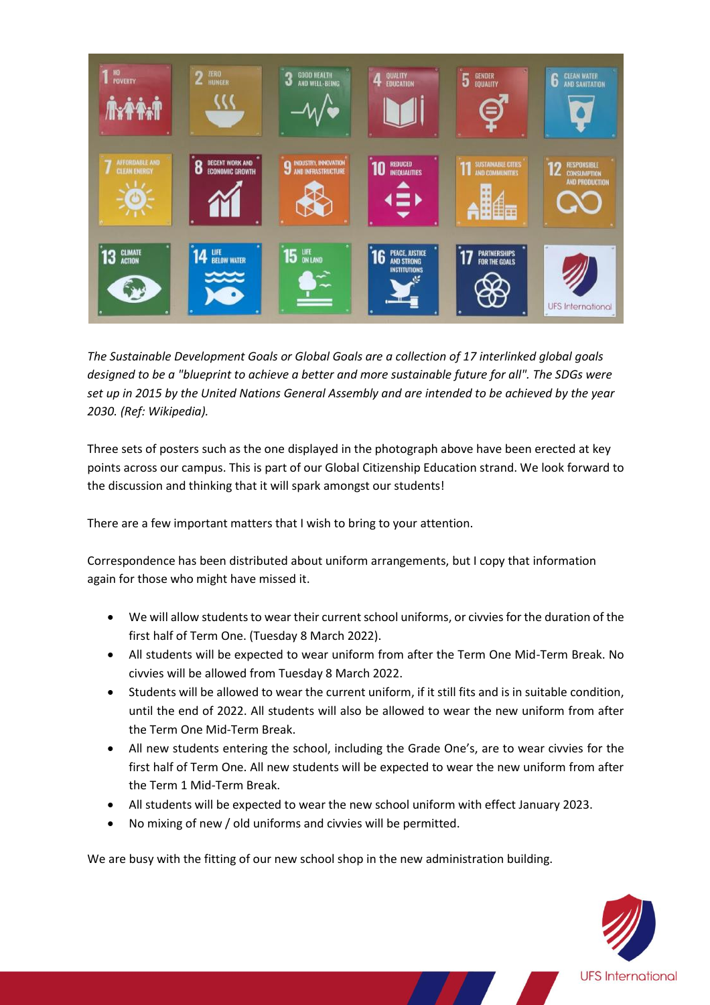

*The Sustainable Development Goals or Global Goals are a collection of 17 interlinked global goals designed to be a "blueprint to achieve a better and more sustainable future for all". The SDGs were set up in 2015 by the United Nations General Assembly and are intended to be achieved by the year 2030. (Ref: Wikipedia).*

Three sets of posters such as the one displayed in the photograph above have been erected at key points across our campus. This is part of our Global Citizenship Education strand. We look forward to the discussion and thinking that it will spark amongst our students!

There are a few important matters that I wish to bring to your attention.

Correspondence has been distributed about uniform arrangements, but I copy that information again for those who might have missed it.

- We will allow students to wear their current school uniforms, or civvies for the duration of the first half of Term One. (Tuesday 8 March 2022).
- All students will be expected to wear uniform from after the Term One Mid-Term Break. No civvies will be allowed from Tuesday 8 March 2022.
- Students will be allowed to wear the current uniform, if it still fits and is in suitable condition, until the end of 2022. All students will also be allowed to wear the new uniform from after the Term One Mid-Term Break.
- All new students entering the school, including the Grade One's, are to wear civvies for the first half of Term One. All new students will be expected to wear the new uniform from after the Term 1 Mid-Term Break.
- All students will be expected to wear the new school uniform with effect January 2023.
- No mixing of new / old uniforms and civvies will be permitted.

We are busy with the fitting of our new school shop in the new administration building.

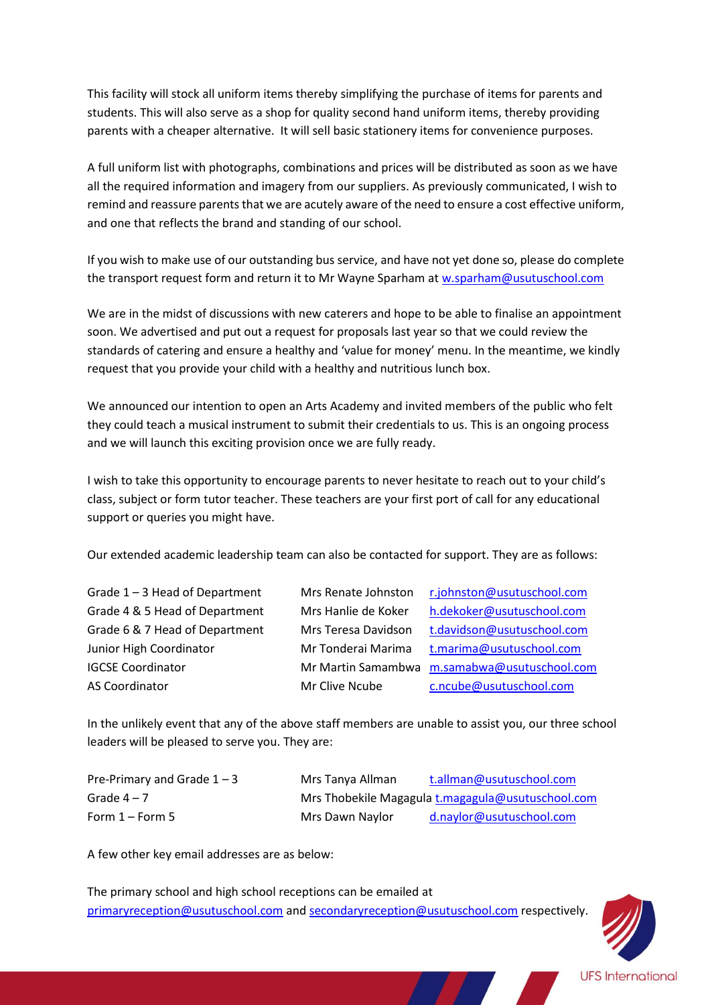This facility will stock all uniform items thereby simplifying the purchase of items for parents and students. This will also serve as a shop for quality second hand uniform items, thereby providing parents with a cheaper alternative. It will sell basic stationery items for convenience purposes.

A full uniform list with photographs, combinations and prices will be distributed as soon as we have all the required information and imagery from our suppliers. As previously communicated, I wish to remind and reassure parents that we are acutely aware of the need to ensure a cost effective uniform, and one that reflects the brand and standing of our school.

If you wish to make use of our outstanding bus service, and have not yet done so, please do complete the transport request form and return it to Mr Wayne Sparham at [w.sparham@usutuschool.com](mailto:w.sparham@usutuschool.com)

We are in the midst of discussions with new caterers and hope to be able to finalise an appointment soon. We advertised and put out a request for proposals last year so that we could review the standards of catering and ensure a healthy and 'value for money' menu. In the meantime, we kindly request that you provide your child with a healthy and nutritious lunch box.

We announced our intention to open an Arts Academy and invited members of the public who felt they could teach a musical instrument to submit their credentials to us. This is an ongoing process and we will launch this exciting provision once we are fully ready.

I wish to take this opportunity to encourage parents to never hesitate to reach out to your child's class, subject or form tutor teacher. These teachers are your first port of call for any educational support or queries you might have.

Our extended academic leadership team can also be contacted for support. They are as follows:

| Grade $1 - 3$ Head of Department |
|----------------------------------|
| Grade 4 & 5 Head of Department   |
| Grade 6 & 7 Head of Department   |
| Junior High Coordinator          |
| <b>IGCSE Coordinator</b>         |
| AS Coordinator                   |

Mrs Renate Johnston [r.johnston@usutuschool.com](mailto:r.johnston@usutuschool.com) Mrs Hanlie de Koker [h.dekoker@usutuschool.com](mailto:h.dekoker@usutuschool.com) Mrs Teresa Davidson [t.davidson@usutuschool.com](mailto:t.davidson@usutuschool.com) Mr Tonderai Marima [t.marima@usutuschool.com](mailto:t.marima@usutuschool.com) Mr Martin Samambwa [m.samabwa@usutuschool.com](mailto:m.samabwa@usutuschool.com) Mr Clive Ncube [c.ncube@usutuschool.com](mailto:c.ncube@usutuschool.com)

In the unlikely event that any of the above staff members are unable to assist you, our three school leaders will be pleased to serve you. They are:

| Pre-Primary and Grade $1 - 3$ | Mrs Tanya Allman | t.allman@usutuschool.com                          |
|-------------------------------|------------------|---------------------------------------------------|
| Grade $4-7$                   |                  | Mrs Thobekile Magagula t.magagula@usutuschool.com |
| Form $1 -$ Form 5             | Mrs Dawn Naylor  | d.naylor@usutuschool.com                          |

A few other key email addresses are as below:

The primary school and high school receptions can be emailed at [primaryreception@usutuschool.com](mailto:primaryreception@usutuschool.com) and [secondaryreception@usutuschool.com](mailto:secondaryreception@usutuschool.com) respectively.